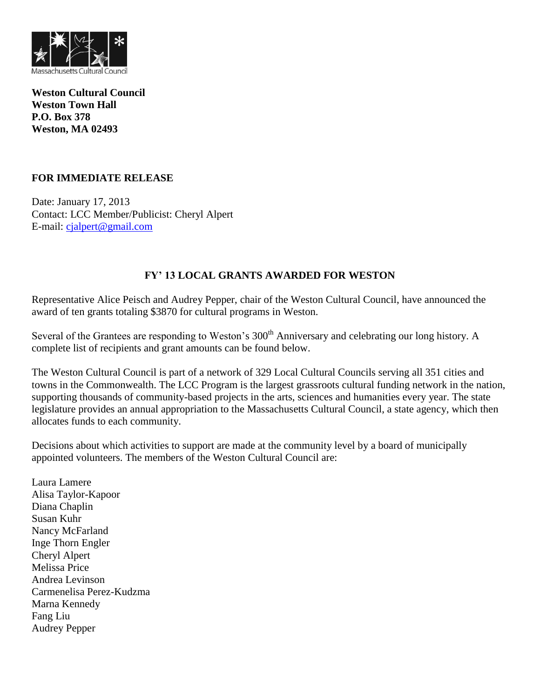

**Weston Cultural Council Weston Town Hall P.O. Box 378 Weston, MA 02493**

# **FOR IMMEDIATE RELEASE**

Date: January 17, 2013 Contact: LCC Member/Publicist: Cheryl Alpert E-mail: [cjalpert@gmail.com](mailto:cjalpert@gmail.com)

# **FY' 13 LOCAL GRANTS AWARDED FOR WESTON**

Representative Alice Peisch and Audrey Pepper, chair of the Weston Cultural Council, have announced the award of ten grants totaling \$3870 for cultural programs in Weston.

Several of the Grantees are responding to Weston's 300<sup>th</sup> Anniversary and celebrating our long history. A complete list of recipients and grant amounts can be found below.

The Weston Cultural Council is part of a network of 329 Local Cultural Councils serving all 351 cities and towns in the Commonwealth. The LCC Program is the largest grassroots cultural funding network in the nation, supporting thousands of community-based projects in the arts, sciences and humanities every year. The state legislature provides an annual appropriation to the Massachusetts Cultural Council, a state agency, which then allocates funds to each community.

Decisions about which activities to support are made at the community level by a board of municipally appointed volunteers. The members of the Weston Cultural Council are:

Laura Lamere Alisa Taylor-Kapoor Diana Chaplin Susan Kuhr Nancy McFarland Inge Thorn Engler Cheryl Alpert Melissa Price Andrea Levinson Carmenelisa Perez-Kudzma Marna Kennedy Fang Liu Audrey Pepper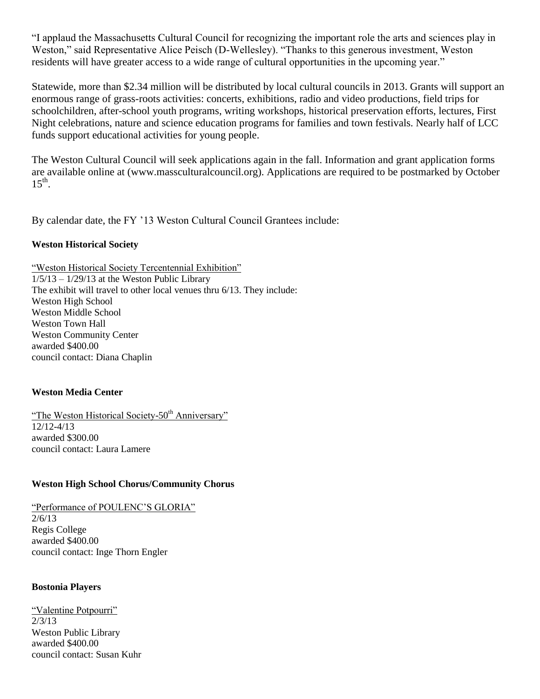"I applaud the Massachusetts Cultural Council for recognizing the important role the arts and sciences play in Weston," said Representative Alice Peisch (D-Wellesley). "Thanks to this generous investment, Weston residents will have greater access to a wide range of cultural opportunities in the upcoming year."

Statewide, more than \$2.34 million will be distributed by local cultural councils in 2013. Grants will support an enormous range of grass-roots activities: concerts, exhibitions, radio and video productions, field trips for schoolchildren, after-school youth programs, writing workshops, historical preservation efforts, lectures, First Night celebrations, nature and science education programs for families and town festivals. Nearly half of LCC funds support educational activities for young people.

The Weston Cultural Council will seek applications again in the fall. Information and grant application forms are available online at (www.massculturalcouncil.org). Applications are required to be postmarked by October  $15<sup>th</sup>$ .

By calendar date, the FY '13 Weston Cultural Council Grantees include:

# **Weston Historical Society**

"Weston Historical Society Tercentennial Exhibition"  $1/5/13 - 1/29/13$  at the Weston Public Library The exhibit will travel to other local venues thru 6/13. They include: Weston High School Weston Middle School Weston Town Hall Weston Community Center awarded \$400.00 council contact: Diana Chaplin

# **Weston Media Center**

"The Weston Historical Society-50<sup>th</sup> Anniversary" 12/12-4/13 awarded \$300.00 council contact: Laura Lamere

# **Weston High School Chorus/Community Chorus**

"Performance of POULENC'S GLORIA" 2/6/13 Regis College awarded \$400.00 council contact: Inge Thorn Engler

#### **Bostonia Players**

"Valentine Potpourri" 2/3/13 Weston Public Library awarded \$400.00 council contact: Susan Kuhr